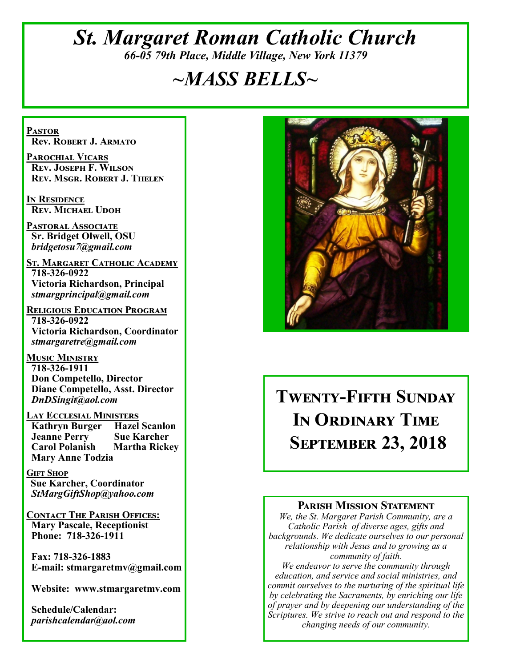## *St. Margaret Roman Catholic Church 66-05 79th Place, Middle Village, New York 11379*

# *~MASS BELLS~*

**Pastor Rev. Robert J. Armato**

**Parochial Vicars Rev. Joseph F. Wilson Rev. Msgr. Robert J. Thelen**

**In Residence Rev. Michael Udoh**

**Pastoral Associate Sr. Bridget Olwell, OSU**  *bridgetosu7@gmail.com*

**St. Margaret Catholic Academy 718-326-0922 Victoria Richardson, Principal**  *stmargprincipal@gmail.com*

**Religious Education Program 718-326-0922 Victoria Richardson, Coordinator** *stmargaretre@gmail.com*

**Music Ministry 718-326-1911 Don Competello, Director Diane Competello, Asst. Director** *DnDSingit@aol.com*

**Lay Ecclesial Ministers Kathryn Burger Jeanne Perry Sue Karcher Carol Polanish Martha Rickey Mary Anne Todzia**

**Gift Shop Sue Karcher, Coordinator** *StMargGiftShop@yahoo.com*

**Contact The Parish Offices: Mary Pascale, Receptionist Phone: 718-326-1911** 

 **Fax: 718-326-1883 E-mail: stmargaretmv@gmail.com**

 **Website: www.stmargaretmv.com**

 **Schedule/Calendar:** *parishcalendar@aol.com* 



## **Twenty-Fifth Sunday In Ordinary Time September 23, 2018**

### **Parish Mission Statement**

*We, the St. Margaret Parish Community, are a Catholic Parish of diverse ages, gifts and backgrounds. We dedicate ourselves to our personal relationship with Jesus and to growing as a community of faith.*

*We endeavor to serve the community through education, and service and social ministries, and commit ourselves to the nurturing of the spiritual life by celebrating the Sacraments, by enriching our life of prayer and by deepening our understanding of the Scriptures. We strive to reach out and respond to the changing needs of our community.*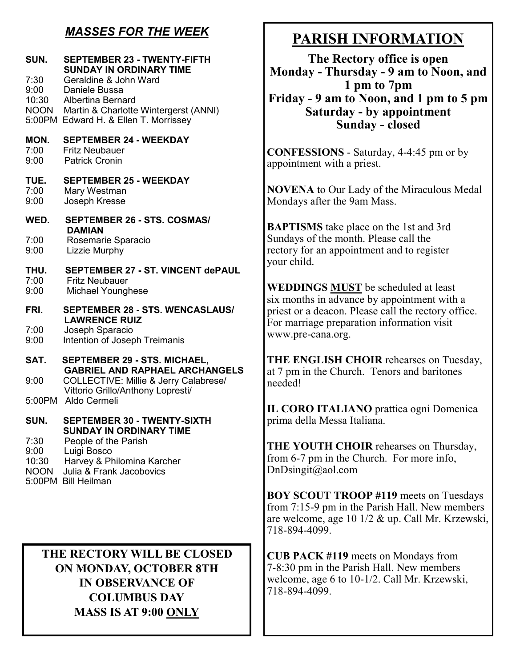### *MASSES FOR THE WEEK*

| SUN.<br>7:30<br>9:00<br>10:30<br><b>NOON</b> | <b>SEPTEMBER 23 - TWENTY-FIFTH</b><br><b>SUNDAY IN ORDINARY TIME</b><br>Geraldine & John Ward<br>Daniele Bussa<br>Albertina Bernard<br>Martin & Charlotte Wintergerst (ANNI)<br>5:00PM Edward H. & Ellen T. Morrissey |  |
|----------------------------------------------|-----------------------------------------------------------------------------------------------------------------------------------------------------------------------------------------------------------------------|--|
| MON.<br>7:00<br>9:00                         | <b>SEPTEMBER 24 - WEEKDAY</b><br><b>Fritz Neubauer</b><br><b>Patrick Cronin</b>                                                                                                                                       |  |
| TUE.<br>7:00<br>9:00                         | <b>SEPTEMBER 25 - WEEKDAY</b><br>Mary Westman<br>Joseph Kresse                                                                                                                                                        |  |
| WED.                                         | SEPTEMBER 26 - STS. COSMAS/<br><b>DAMIAN</b>                                                                                                                                                                          |  |
| 7:00<br>9:00                                 | Rosemarie Sparacio<br>Lizzie Murphy                                                                                                                                                                                   |  |
| THU.<br>7:00<br>9:00                         | <b>SEPTEMBER 27 - ST. VINCENT dePAUL</b><br><b>Fritz Neubauer</b><br>Michael Younghese                                                                                                                                |  |
| FRI.                                         | <b>SEPTEMBER 28 - STS. WENCASLAUS/</b><br><b>LAWRENCE RUIZ</b>                                                                                                                                                        |  |
| 7:00<br>9:00                                 | Joseph Sparacio<br>Intention of Joseph Treimanis                                                                                                                                                                      |  |
| SAT.                                         | <b>SEPTEMBER 29 - STS. MICHAEL,</b><br><b>GABRIEL AND RAPHAEL ARCHANGELS</b>                                                                                                                                          |  |
| 9:00                                         | COLLECTIVE: Millie & Jerry Calabrese/<br>Vittorio Grillo/Anthony Lopresti/                                                                                                                                            |  |
|                                              | 5:00PM Aldo Cermeli                                                                                                                                                                                                   |  |
| SUN.                                         | <b>SEPTEMBER 30 - TWENTY-SIXTH</b><br><b>SUNDAY IN ORDINARY TIME</b>                                                                                                                                                  |  |
| 7:30<br>9:00<br>10:30<br><b>NOON</b>         | People of the Parish<br>Luigi Bosco<br>Harvey & Philomina Karcher<br>Julia & Frank Jacobovics<br>5:00PM Bill Heilman                                                                                                  |  |

**THE RECTORY WILL BE CLOSED ON MONDAY, OCTOBER 8TH IN OBSERVANCE OF COLUMBUS DAY MASS IS AT 9:00 ONLY**

## **PARISH INFORMATION**

**The Rectory office is open Monday - Thursday - 9 am to Noon, and 1 pm to 7pm Friday - 9 am to Noon, and 1 pm to 5 pm Saturday - by appointment Sunday - closed**

**CONFESSIONS** - Saturday, 4-4:45 pm or by appointment with a priest.

**NOVENA** to Our Lady of the Miraculous Medal Mondays after the 9am Mass.

**BAPTISMS** take place on the 1st and 3rd Sundays of the month. Please call the rectory for an appointment and to register your child.

**WEDDINGS MUST** be scheduled at least six months in advance by appointment with a priest or a deacon. Please call the rectory office. For marriage preparation information visit www.pre-cana.org.

**THE ENGLISH CHOIR** rehearses on Tuesday, at 7 pm in the Church. Tenors and baritones needed!

**IL CORO ITALIANO** prattica ogni Domenica prima della Messa Italiana.

**THE YOUTH CHOIR** rehearses on Thursday, from 6-7 pm in the Church. For more info, DnDsingit@aol.com

**BOY SCOUT TROOP #119** meets on Tuesdays from 7:15-9 pm in the Parish Hall. New members are welcome, age 10 1/2 & up. Call Mr. Krzewski, 718-894-4099.

**CUB PACK #119** meets on Mondays from 7-8:30 pm in the Parish Hall. New members welcome, age 6 to 10-1/2. Call Mr. Krzewski, 718-894-4099.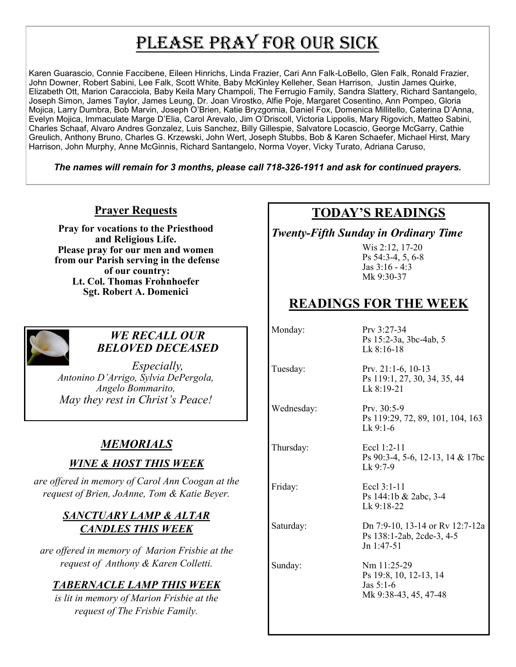# PLEASE PRAY FOR OUR SICK

Karen Guarascio, Connie Faccibene, Eileen Hinrichs, Linda Frazier, Cari Ann Falk-LoBello, Glen Falk, Ronald Frazier, John Downer, Robert Sabini, Lee Falk, Scott White, Baby McKinley Kelleher, Sean Harrison, Justin James Quirke, Elizabeth Ott, Marion Caracciola, Baby Keila Mary Champoli, The Ferrugio Family, Sandra Slattery, Richard Santangelo, Joseph Simon, James Taylor, James Leung, Dr. Joan Virostko, Alfie Poje, Margaret Cosentino, Ann Pompeo, Gloria Mojica, Larry Dumbra, Bob Marvin, Joseph O'Brien, Katie Bryzgornia, Daniel Fox, Domenica Millitello, Caterina D'Anna, Evelyn Mojica, Immaculate Marge D'Elia, Carol Arevalo, Jim O'Driscoll, Victoria Lippolis, Mary Rigovich, Matteo Sabini, Charles Schaaf, Alvaro Andres Gonzalez, Luis Sanchez, Billy Gillespie, Salvatore Locascio, George McGarry, Cathie Greulich, Anthony Bruno, Charles G. Krzewski, John Wert, Joseph Stubbs, Bob & Karen Schaefer, Michael Hirst, Mary Harrison, John Murphy, Anne McGinnis, Richard Santangelo, Norma Voyer, Vicky Turato, Adriana Caruso,

*The names will remain for 3 months, please call 718-326-1911 and ask for continued prayers.*

### **Prayer Requests**

**Pray for vocations to the Priesthood and Religious Life. Please pray for our men and women from our Parish serving in the defense of our country: Lt. Col. Thomas Frohnhoefer Sgt. Robert A. Domenici** 



### *WE RECALL OUR BELOVED DECEASED*

*Especially, Antonino D'Arrigo, Sylvia DePergola, Angelo Bommarito, May they rest in Christ's Peace!*

### *MEMORIALS*

### *WINE & HOST THIS WEEK*

*are offered in memory of Carol Ann Coogan at the request of Brien, JoAnne, Tom & Katie Beyer.* 

### *SANCTUARY LAMP & ALTAR CANDLES THIS WEEK*

*are offered in memory of Marion Frisbie at the request of Anthony & Karen Colletti.*

### *TABERNACLE LAMP THIS WEEK*

*is lit in memory of Marion Frisbie at the request of The Frisbie Family.*

## **TODAY'S READINGS**

*Twenty-Fifth Sunday in Ordinary Time*

Wis 2:12, 17-20 Ps 54:3-4, 5, 6-8 Jas 3:16 - 4:3 Mk 9:30-37

## **READINGS FOR THE WEEK**

Monday: Prv 3:27-34 Ps 15:2-3a, 3bc-4ab, 5

Thursday: Eccl 1:2-11

Lk 8:16-18

Tuesday: Prv. 21:1-6, 10-13 Ps 119:1, 27, 30, 34, 35, 44 Lk 8:19-21

Wednesday: Prv. 30:5-9 Ps 119:29, 72, 89, 101, 104, 163 Lk 9:1-6

> Ps 90:3-4, 5-6, 12-13, 14 & 17bc Lk 9:7-9

Friday: Eccl 3:1-11 Ps 144:1b & 2abc, 3-4 Lk 9:18-22

Saturday: Dn 7:9-10, 13-14 or Rv 12:7-12a Ps 138:1-2ab, 2cde-3, 4-5 Jn 1:47-51

Sunday: Nm 11:25-29 Ps 19:8, 10, 12-13, 14 Jas 5:1-6 Mk 9:38-43, 45, 47-48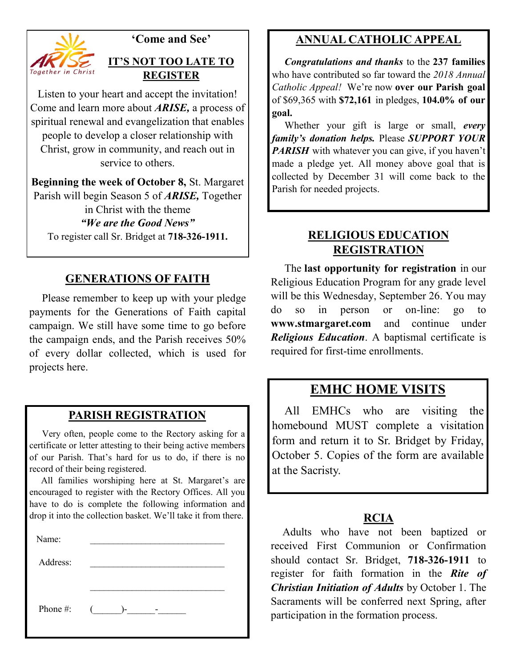

### **'Come and See'**

### **IT'S NOT TOO LATE TO REGISTER**

Listen to your heart and accept the invitation! Come and learn more about *ARISE,* a process of spiritual renewal and evangelization that enables people to develop a closer relationship with Christ, grow in community, and reach out in service to others.

**Beginning the week of October 8,** St. Margaret Parish will begin Season 5 of *ARISE,* Together in Christ with the theme *"We are the Good News"* To register call Sr. Bridget at **718-326-1911. RELIGIOUS EDUCATION**

### **GENERATIONS OF FAITH**

 Please remember to keep up with your pledge payments for the Generations of Faith capital campaign. We still have some time to go before the campaign ends, and the Parish receives 50% of every dollar collected, which is used for projects here.

### **PARISH REGISTRATION**

 Very often, people come to the Rectory asking for a certificate or letter attesting to their being active members of our Parish. That's hard for us to do, if there is no record of their being registered.

 All families worshiping here at St. Margaret's are encouraged to register with the Rectory Offices. All you have to do is complete the following information and drop it into the collection basket. We'll take it from there.

| Name:    |                  |
|----------|------------------|
| Address: |                  |
|          |                  |
| Phone #: | $\sqrt{2}$<br>)- |

### **ANNUAL CATHOLIC APPEAL**

 *Congratulations and thanks* to the **237 families**  who have contributed so far toward the *2018 Annual Catholic Appeal!* We're now **over our Parish goal**  of \$69,365 with **\$72,161** in pledges, **104.0% of our goal.**

 Whether your gift is large or small, *every family's donation helps.* Please *SUPPORT YOUR PARISH* with whatever you can give, if you haven't made a pledge yet. All money above goal that is collected by December 31 will come back to the Parish for needed projects.

# **REGISTRATION**

 The **last opportunity for registration** in our Religious Education Program for any grade level will be this Wednesday, September 26. You may do so in person or on-line: go to **www.stmargaret.com** and continue under *Religious Education*. A baptismal certificate is required for first-time enrollments.

### **EMHC HOME VISITS**

 All EMHCs who are visiting the homebound MUST complete a visitation form and return it to Sr. Bridget by Friday, October 5. Copies of the form are available at the Sacristy.

#### **RCIA**

 Adults who have not been baptized or received First Communion or Confirmation should contact Sr. Bridget, **718-326-1911** to register for faith formation in the *Rite of Christian Initiation of Adults* by October 1. The Sacraments will be conferred next Spring, after participation in the formation process.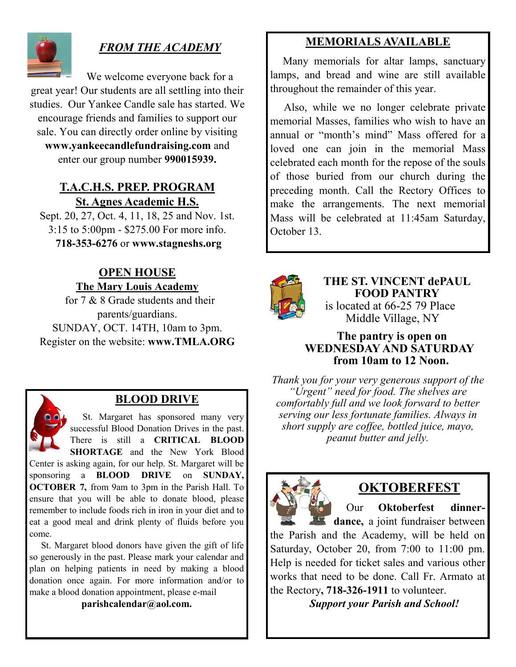

## *FROM THE ACADEMY*

We welcome everyone back for a great year! Our students are all settling into their studies. Our Yankee Candle sale has started. We encourage friends and families to support our sale. You can directly order online by visiting **www.yankeecandlefundraising.com** and enter our group number **990015939.**

### **T.A.C.H.S. PREP. PROGRAM St. Agnes Academic H.S.**

Sept. 20, 27, Oct. 4, 11, 18, 25 and Nov. 1st. 3:15 to 5:00pm - \$275.00 For more info. **718-353-6276** or **www.stagneshs.org**

### **OPEN HOUSE The Mary Louis Academy**

for 7 & 8 Grade students and their parents/guardians. SUNDAY, OCT. 14TH, 10am to 3pm. Register on the website: **www.TMLA.ORG** 



## **BLOOD DRIVE**

 St. Margaret has sponsored many very successful Blood Donation Drives in the past. There is still a **CRITICAL BLOOD SHORTAGE** and the New York Blood

Center is asking again, for our help. St. Margaret will be sponsoring a **BLOOD DRIVE** on **SUNDAY, OCTOBER 7,** from 9am to 3pm in the Parish Hall. To ensure that you will be able to donate blood, please remember to include foods rich in iron in your diet and to eat a good meal and drink plenty of fluids before you come.

 St. Margaret blood donors have given the gift of life so generously in the past. Please mark your calendar and plan on helping patients in need by making a blood donation once again. For more information and/or to make a blood donation appointment, please e-mail

**parishcalendar@aol.com.**

## **MEMORIALS AVAILABLE**

Many memorials for altar lamps, sanctuary lamps, and bread and wine are still available throughout the remainder of this year.

 Also, while we no longer celebrate private memorial Masses, families who wish to have an annual or "month's mind" Mass offered for a loved one can join in the memorial Mass celebrated each month for the repose of the souls of those buried from our church during the preceding month. Call the Rectory Offices to make the arrangements. The next memorial Mass will be celebrated at 11:45am Saturday, October 13.



**THE ST. VINCENT dePAUL FOOD PANTRY** is located at 66-25 79 Place Middle Village, NY

### **The pantry is open on WEDNESDAY AND SATURDAY from 10am to 12 Noon.**

*Thank you for your very generous support of the "Urgent" need for food. The shelves are comfortably full and we look forward to better serving our less fortunate families. Always in short supply are coffee, bottled juice, mayo, peanut butter and jelly.*



## **OKTOBERFEST**

 Our **Oktoberfest dinnerdance**, a joint fundraiser between

the Parish and the Academy, will be held on Saturday, October 20, from 7:00 to 11:00 pm. Help is needed for ticket sales and various other works that need to be done. Call Fr. Armato at the Rectory**, 718-326-1911** to volunteer.

 *Support your Parish and School!*